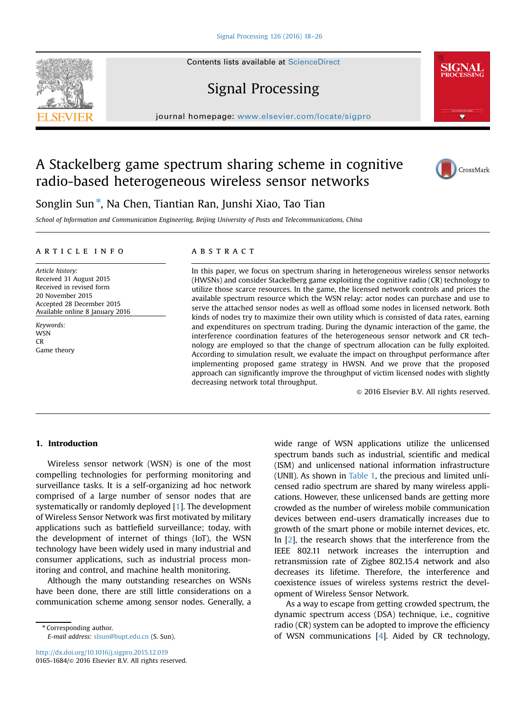# Signal Processing

journal homepage: <www.elsevier.com/locate/sigpro>

## A Stackelberg game spectrum sharing scheme in cognitive radio-based heterogeneous wireless sensor networks



Songlin Sun\*, Na Chen, Tiantian Ran, Junshi Xiao, Tao Tian

School of Information and Communication Engineering, Beijing University of Posts and Telecommunications, China

#### article info

Article history: Received 31 August 2015 Received in revised form 20 November 2015 Accepted 28 December 2015 Available online 8 January 2016

Keywords: **WSN** CR Game theory

### **ABSTRACT**

In this paper, we focus on spectrum sharing in heterogeneous wireless sensor networks (HWSNs) and consider Stackelberg game exploiting the cognitive radio (CR) technology to utilize those scarce resources. In the game, the licensed network controls and prices the available spectrum resource which the WSN relay: actor nodes can purchase and use to serve the attached sensor nodes as well as offload some nodes in licensed network. Both kinds of nodes try to maximize their own utility which is consisted of data rates, earning and expenditures on spectrum trading. During the dynamic interaction of the game, the interference coordination features of the heterogeneous sensor network and CR technology are employed so that the change of spectrum allocation can be fully exploited. According to simulation result, we evaluate the impact on throughput performance after implementing proposed game strategy in HWSN. And we prove that the proposed approach can significantly improve the throughput of victim licensed nodes with slightly decreasing network total throughput.

 $©$  2016 Elsevier B.V. All rights reserved.

### 1. Introduction

Wireless sensor network (WSN) is one of the most compelling technologies for performing monitoring and surveillance tasks. It is a self-organizing ad hoc network comprised of a large number of sensor nodes that are systematically or randomly deployed [1]. The development of Wireless Sensor Network was first motivated by military applications such as battlefield surveillance; today, with the development of internet of things (IoT), the WSN technology have been widely used in many industrial and consumer applications, such as industrial process monitoring and control, and machine health monitoring.

Although the many outstanding researches on WSNs have been done, there are still little considerations on a communication scheme among sensor nodes. Generally, a

\* Corresponding author. E-mail address: [slsun@bupt.edu.cn](mailto:slsun@bupt.edu.cn) (S. Sun).

<http://dx.doi.org/10.1016/j.sigpro.2015.12.019> 0165-1684/& 2016 Elsevier B.V. All rights reserved. wide range of WSN applications utilize the unlicensed spectrum bands such as industrial, scientific and medical (ISM) and unlicensed national information infrastructure (UNII). As shown in Table 1, the precious and limited unlicensed radio spectrum are shared by many wireless applications. However, these unlicensed bands are getting more crowded as the number of wireless mobile communication devices between end-users dramatically increases due to growth of the smart phone or mobile internet devices, etc. In [2], the research shows that the interference from the IEEE 802.11 network increases the interruption and retransmission rate of Zigbee 802.15.4 network and also decreases its lifetime. Therefore, the interference and coexistence issues of wireless systems restrict the development of Wireless Sensor Network.

As a way to escape from getting crowded spectrum, the dynamic spectrum access (DSA) technique, i.e., cognitive radio (CR) system can be adopted to improve the efficiency of WSN communications [4]. Aided by CR technology,

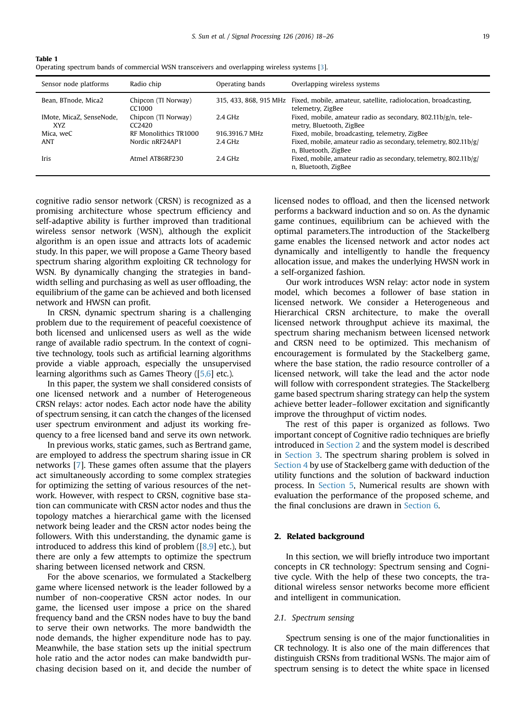| r |
|---|
| I |

| Sensor node platforms           | Radio chip                                | Operating bands | Overlapping wireless systems                                                                                |
|---------------------------------|-------------------------------------------|-----------------|-------------------------------------------------------------------------------------------------------------|
| Bean, BTnode, Mica2             | Chipcon (TI Norway)<br>CC1000             |                 | 315, 433, 868, 915 MHz Fixed, mobile, amateur, satellite, radiolocation, broadcasting,<br>telemetry, ZigBee |
| IMote, MicaZ, SenseNode,<br>XYZ | Chipcon (TI Norway)<br>CC <sub>2420</sub> | 2.4 GHz         | Fixed, mobile, amateur radio as secondary, 802.11b/g/n, tele-<br>metry, Bluetooth, ZigBee                   |
| Mica, weC                       | RF Monolithics TR1000                     | 916.3916.7 MHz  | Fixed, mobile, broadcasting, telemetry, ZigBee                                                              |
| <b>ANT</b>                      | Nordic nRF24AP1                           | 2.4 GHz         | Fixed, mobile, amateur radio as secondary, telemetry, 802.11b/g/<br>n, Bluetooth, ZigBee                    |
| <b>Iris</b>                     | Atmel AT86RF230                           | $2.4$ GHz       | Fixed, mobile, amateur radio as secondary, telemetry, 802.11b/g/<br>n, Bluetooth, ZigBee                    |

Table 1 Operating spectrum bands of commercial WSN transceivers and overlapping wireless systems [3].

cognitive radio sensor network (CRSN) is recognized as a promising architecture whose spectrum efficiency and self-adaptive ability is further improved than traditional wireless sensor network (WSN), although the explicit algorithm is an open issue and attracts lots of academic study. In this paper, we will propose a Game Theory based spectrum sharing algorithm exploiting CR technology for WSN. By dynamically changing the strategies in bandwidth selling and purchasing as well as user offloading, the equilibrium of the game can be achieved and both licensed network and HWSN can profit.

In CRSN, dynamic spectrum sharing is a challenging problem due to the requirement of peaceful coexistence of both licensed and unlicensed users as well as the wide range of available radio spectrum. In the context of cognitive technology, tools such as artificial learning algorithms provide a viable approach, especially the unsupervised learning algorithms such as Games Theory ([5,6] etc.).

In this paper, the system we shall considered consists of one licensed network and a number of Heterogeneous CRSN relays: actor nodes. Each actor node have the ability of spectrum sensing, it can catch the changes of the licensed user spectrum environment and adjust its working frequency to a free licensed band and serve its own network.

In previous works, static games, such as Bertrand game, are employed to address the spectrum sharing issue in CR networks [7]. These games often assume that the players act simultaneously according to some complex strategies for optimizing the setting of various resources of the network. However, with respect to CRSN, cognitive base station can communicate with CRSN actor nodes and thus the topology matches a hierarchical game with the licensed network being leader and the CRSN actor nodes being the followers. With this understanding, the dynamic game is introduced to address this kind of problem  $(8,9)$  etc.), but there are only a few attempts to optimize the spectrum sharing between licensed network and CRSN.

For the above scenarios, we formulated a Stackelberg game where licensed network is the leader followed by a number of non-cooperative CRSN actor nodes. In our game, the licensed user impose a price on the shared frequency band and the CRSN nodes have to buy the band to serve their own networks. The more bandwidth the node demands, the higher expenditure node has to pay. Meanwhile, the base station sets up the initial spectrum hole ratio and the actor nodes can make bandwidth purchasing decision based on it, and decide the number of

licensed nodes to offload, and then the licensed network performs a backward induction and so on. As the dynamic game continues, equilibrium can be achieved with the optimal parameters.The introduction of the Stackelberg game enables the licensed network and actor nodes act dynamically and intelligently to handle the frequency allocation issue, and makes the underlying HWSN work in a self-organized fashion.

Our work introduces WSN relay: actor node in system model, which becomes a follower of base station in licensed network. We consider a Heterogeneous and Hierarchical CRSN architecture, to make the overall licensed network throughput achieve its maximal, the spectrum sharing mechanism between licensed network and CRSN need to be optimized. This mechanism of encouragement is formulated by the Stackelberg game, where the base station, the radio resource controller of a licensed network, will take the lead and the actor node will follow with correspondent strategies. The Stackelberg game based spectrum sharing strategy can help the system achieve better leader–follower excitation and significantly improve the throughput of victim nodes.

The rest of this paper is organized as follows. Two important concept of Cognitive radio techniques are briefly introduced in Section 2 and the system model is described in Section 3. The spectrum sharing problem is solved in Section 4 by use of Stackelberg game with deduction of the utility functions and the solution of backward induction process. In Section 5, Numerical results are shown with evaluation the performance of the proposed scheme, and the final conclusions are drawn in Section 6.

#### 2. Related background

In this section, we will briefly introduce two important concepts in CR technology: Spectrum sensing and Cognitive cycle. With the help of these two concepts, the traditional wireless sensor networks become more efficient and intelligent in communication.

#### 2.1. Spectrum sensing

Spectrum sensing is one of the major functionalities in CR technology. It is also one of the main differences that distinguish CRSNs from traditional WSNs. The major aim of spectrum sensing is to detect the white space in licensed